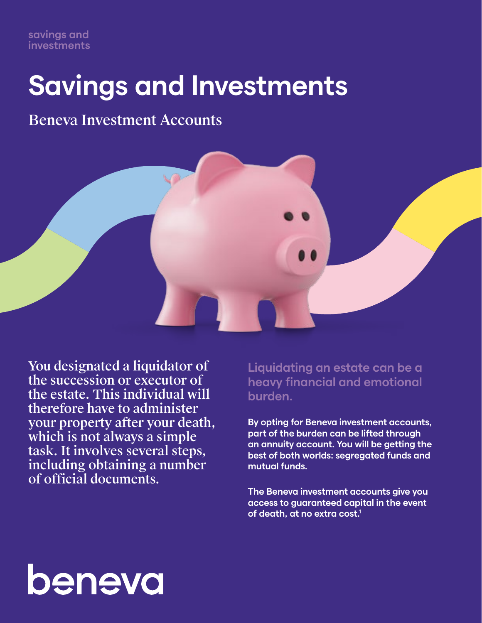# **Savings and Investments**

Beneva Investment Accounts



You designated a liquidator of the succession or executor of the estate. This individual will therefore have to administer your property after your death, which is not always a simple task. It involves several steps, including obtaining a number of official documents.

**Liquidating an estate can be a heavy financial and emotional burden.**

**By opting for Beneva investment accounts, part of the burden can be lifted through an annuity account. You will be getting the best of both worlds: segregated funds and mutual funds.**

**The Beneva investment accounts give you access to guaranteed capital in the event of death, at no extra cost.1**

# beneva